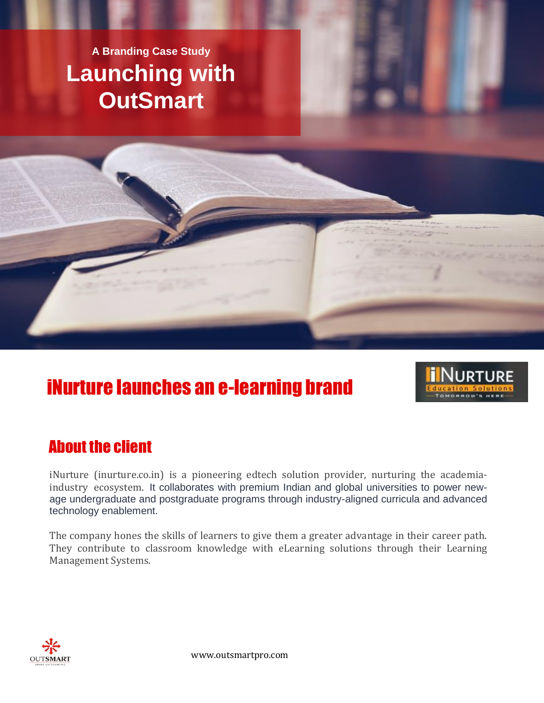# **Launching with OutSmart A Branding Case Study**



## iNurture launches an e-learning brand



#### About the client

iNurture (inurture.co.in) is a pioneering edtech solution provider, nurturing the academiaindustry ecosystem. It collaborates with premium Indian and global universities to power newage undergraduate and postgraduate programs through industry-aligned curricula and advanced technology enablement.

The company hones the skills of learners to give them a greater advantage in their career path. They contribute to classroom knowledge with eLearning solutions through their Learning Management Systems.



www.outsmartpro.com